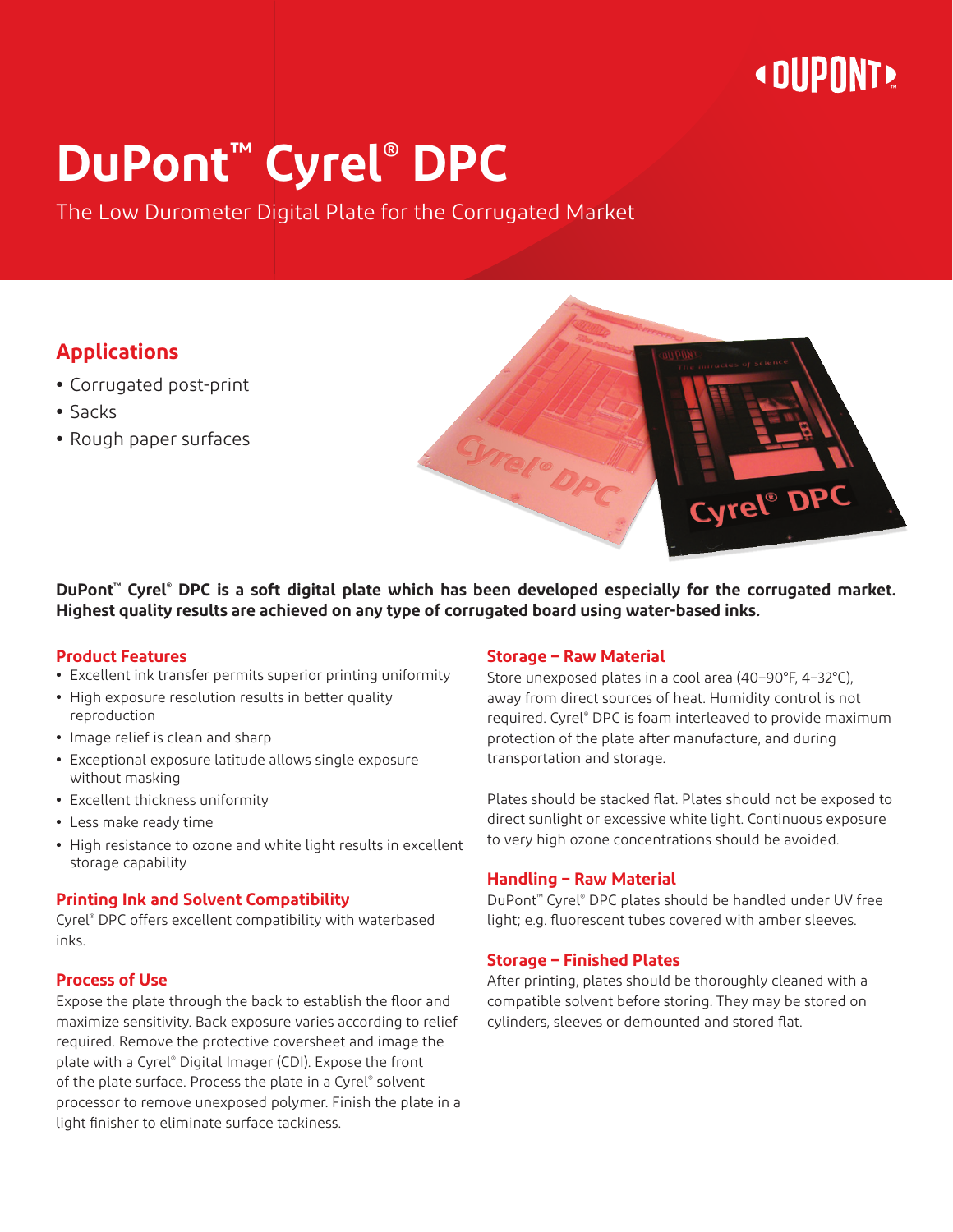## **« DUPONT »**

# **DuPont™ Cyrel® DPC**

The Low Durometer Digital Plate for the Corrugated Market

#### **Applications**

- **•** Corrugated post-print
- **•** Sacks
- **•** Rough paper surfaces

**DuPont™ Cyrel® DPC is a soft digital plate which has been developed especially for the corrugated market. Highest quality results are achieved on any type of corrugated board using water-based inks.**

#### **Product Features**

- **•** Excellent ink transfer permits superior printing uniformity
- **•** High exposure resolution results in better quality reproduction
- **•** Image relief is clean and sharp
- **•** Exceptional exposure latitude allows single exposure without masking
- **•** Excellent thickness uniformity
- **•** Less make ready time
- **•** High resistance to ozone and white light results in excellent storage capability

#### **Printing Ink and Solvent Compatibility**

Cyrel® DPC offers excellent compatibility with waterbased inks.

#### **Process of Use**

Expose the plate through the back to establish the floor and maximize sensitivity. Back exposure varies according to relief required. Remove the protective coversheet and image the plate with a Cyrel® Digital Imager (CDI). Expose the front of the plate surface. Process the plate in a Cyrel® solvent processor to remove unexposed polymer. Finish the plate in a light finisher to eliminate surface tackiness.

#### **Storage – Raw Material**

Store unexposed plates in a cool area (40–90°F, 4–32°C), away from direct sources of heat. Humidity control is not required. Cyrel® DPC is foam interleaved to provide maximum protection of the plate after manufacture, and during transportation and storage.

Plates should be stacked flat. Plates should not be exposed to direct sunlight or excessive white light. Continuous exposure to very high ozone concentrations should be avoided.

#### **Handling – Raw Material**

DuPont™ Cyrel® DPC plates should be handled under UV free light; e.g. fluorescent tubes covered with amber sleeves.

#### **Storage – Finished Plates**

After printing, plates should be thoroughly cleaned with a compatible solvent before storing. They may be stored on cylinders, sleeves or demounted and stored flat.